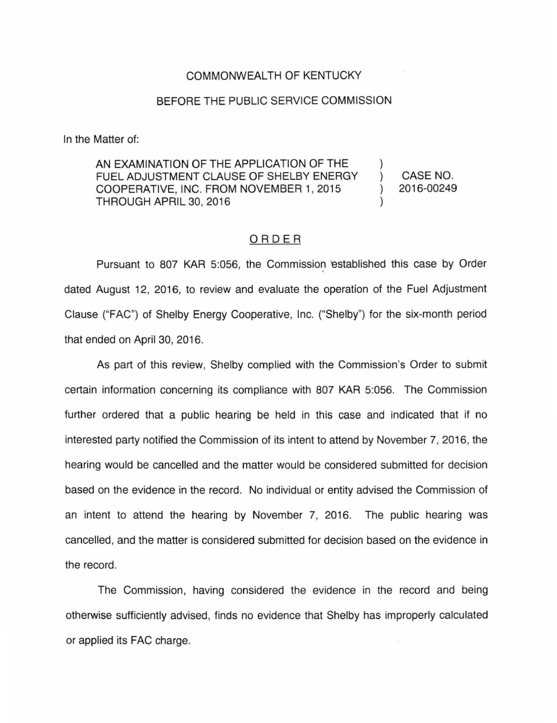## COMMONWEALTH OF KENTUCKY

## BEFORE THE PUBLIC SERVICE COMMISSION

In the Matter of:

AN EXAMINATION OF THE APPLICATION OF THE FUEL ADJUSTMENT CLAUSE OF SHELBY ENERGY COOPERATIVE, INC. FROM NOVEMBER 1, 2015 THROUGH APRIL 30, 2016

) CASE NO. ) 2016-00249

)

)

## ORDER

Pursuant to 807 KAR 5:056, the Commission 'established this case by Order dated August 12, 2016, to review and evaluate the operation of the Fuel Adjustment Clause ("FAC") of Shelby Energy Cooperative, Inc. ("Shelby") for the six-month period that ended on April 30, 2016.

As part of this review, Shelby complied with the Commission's Order to submit certain information concerning its compliance with 807 KAR 5:056. The Commission further ordered that a public hearing be held in this case and indicated that if no interested party notified the Commission of its intent to attend by November 7, 2016, the hearing would be cancelled and the matter would be considered submitted for decision based on the evidence in the record. No individual or entity advised the Commission of an intent to attend the hearing by November 7, 2016. The public hearing was cancelled, and the matter is considered submitted for decision based on the evidence in the record.

The Commission, having considered the evidence in the record and being otherwise sufficiently advised, finds no evidence that Shelby has improperly calculated or applied its FAG charge.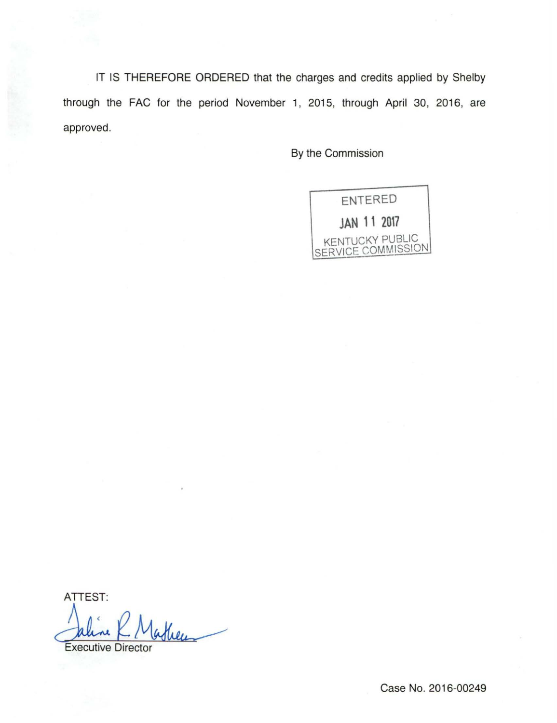IT IS THEREFORE ORDERED that the charges and credits applied by Shelby through the FAC for the period November 1, 2015, through April 30, 2016, are approved.

By the Commission

ENTERED **JAN 11 2017**  KENTUCKY PUBLIC SERVICE COMMISSION

ATTEST: AITESI:<br>Caline C. Matheus

Case No. 2016-00249